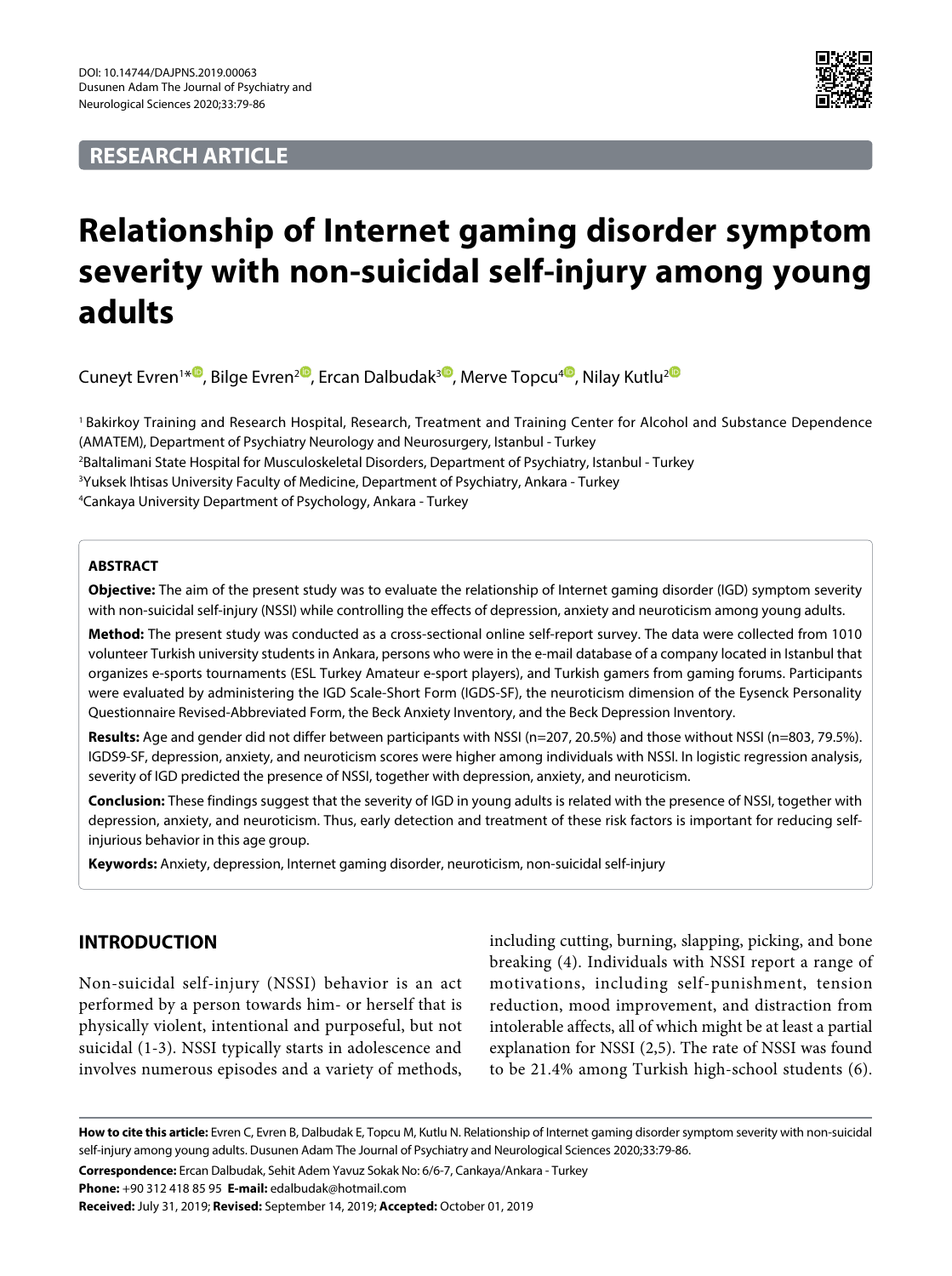# **RESEARCH ARTICLE**



# **Relationship of Internet gaming disorder symptom severity with non-suicidal self-injury among young adults**

Cuneyt Evren1[\\*](https://orcid.org/0000-0002-4431-3514)®[,](https://orcid.org/0000-0003-4934-662X) Bilge Evren<sup>2®</sup>[,](https://orcid.org/0000-0001-8563-5440) Ercan Dalbudak<sup>3®</sup>, Merve Topcu<sup>[4](https://orcid.org/0000-0003-3181-2864)®</sup>, Nilay Kutlu<sup>[2](https://orcid.org/0000-0003-3506-7275)</sup>

1 Bakirkoy Training and Research Hospital, Research, Treatment and Training Center for Alcohol and Substance Dependence (AMATEM), Department of Psychiatry Neurology and Neurosurgery, Istanbul - Turkey

2 Baltalimani State Hospital for Musculoskeletal Disorders, Department of Psychiatry, Istanbul - Turkey

3 Yuksek Ihtisas University Faculty of Medicine, Department of Psychiatry, Ankara - Turkey

4 Cankaya University Department of Psychology, Ankara - Turkey

### **ABSTRACT**

**Objective:** The aim of the present study was to evaluate the relationship of Internet gaming disorder (IGD) symptom severity with non-suicidal self-injury (NSSI) while controlling the effects of depression, anxiety and neuroticism among young adults.

**Method:** The present study was conducted as a cross-sectional online self-report survey. The data were collected from 1010 volunteer Turkish university students in Ankara, persons who were in the e-mail database of a company located in Istanbul that organizes e-sports tournaments (ESL Turkey Amateur e-sport players), and Turkish gamers from gaming forums. Participants were evaluated by administering the IGD Scale-Short Form (IGDS-SF), the neuroticism dimension of the Eysenck Personality Questionnaire Revised-Abbreviated Form, the Beck Anxiety Inventory, and the Beck Depression Inventory.

**Results:** Age and gender did not differ between participants with NSSI (n=207, 20.5%) and those without NSSI (n=803, 79.5%). IGDS9-SF, depression, anxiety, and neuroticism scores were higher among individuals with NSSI. In logistic regression analysis, severity of IGD predicted the presence of NSSI, together with depression, anxiety, and neuroticism.

**Conclusion:** These findings suggest that the severity of IGD in young adults is related with the presence of NSSI, together with depression, anxiety, and neuroticism. Thus, early detection and treatment of these risk factors is important for reducing selfinjurious behavior in this age group.

**Keywords:** Anxiety, depression, Internet gaming disorder, neuroticism, non-suicidal self-injury

# **INTRODUCTION**

Non-suicidal self-injury (NSSI) behavior is an act performed by a person towards him- or herself that is physically violent, intentional and purposeful, but not suicidal (1-3). NSSI typically starts in adolescence and involves numerous episodes and a variety of methods,

including cutting, burning, slapping, picking, and bone breaking (4). Individuals with NSSI report a range of motivations, including self-punishment, tension reduction, mood improvement, and distraction from intolerable affects, all of which might be at least a partial explanation for NSSI (2,5). The rate of NSSI was found to be 21.4% among Turkish high-school students (6).

**How to cite this article:** Evren C, Evren B, Dalbudak E, Topcu M, Kutlu N. Relationship of Internet gaming disorder symptom severity with non-suicidal self-injury among young adults. Dusunen Adam The Journal of Psychiatry and Neurological Sciences 2020;33:79-86.

**Correspondence:** Ercan Dalbudak, Sehit Adem Yavuz Sokak No: 6/6-7, Cankaya/Ankara - Turkey

**Phone:** +90 312 418 85 95 **E-mail:** edalbudak@hotmail.com

**Received:** July 31, 2019; **Revised:** September 14, 2019; **Accepted:** October 01, 2019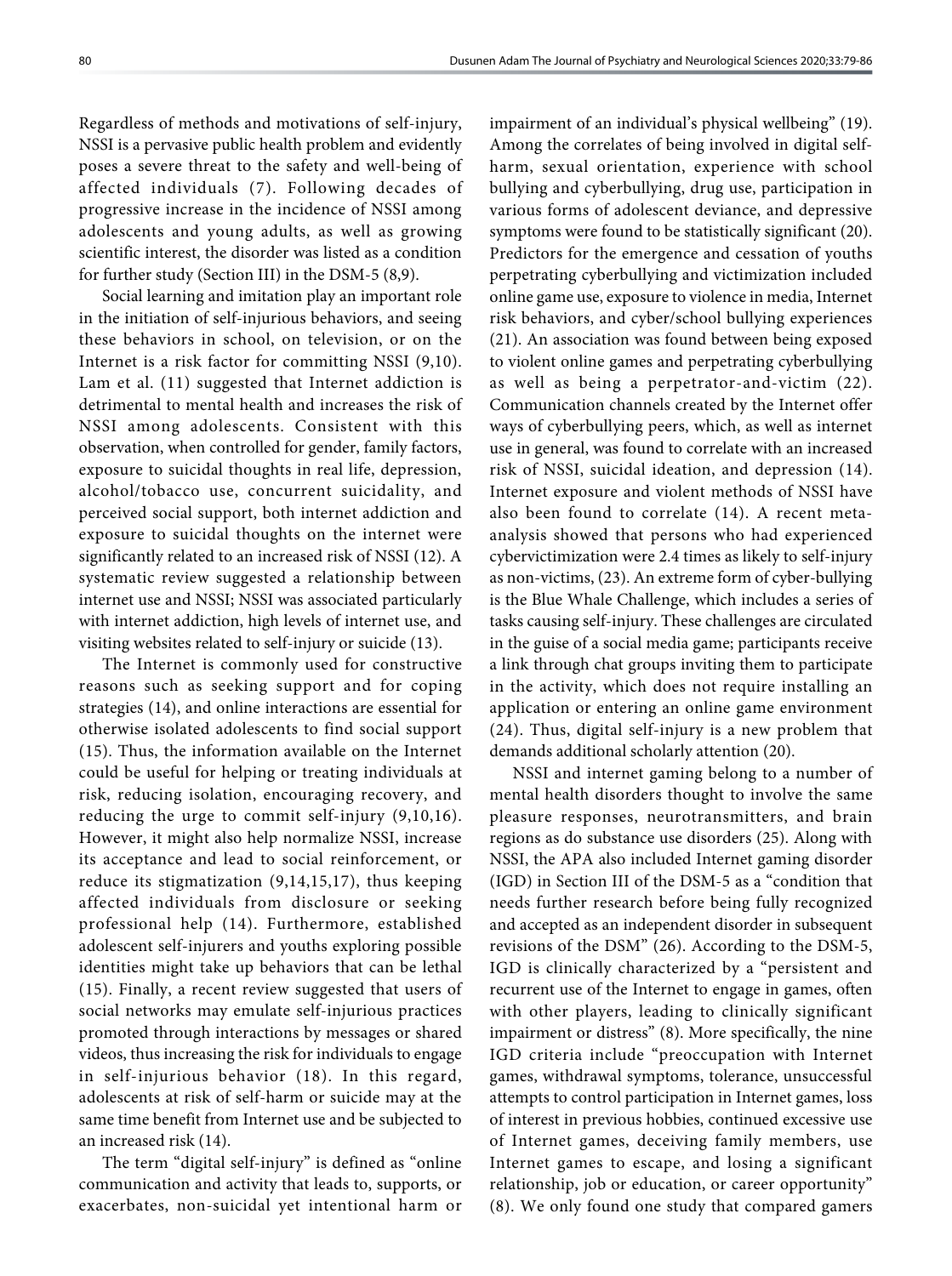Regardless of methods and motivations of self-injury, NSSI is a pervasive public health problem and evidently poses a severe threat to the safety and well-being of affected individuals (7). Following decades of progressive increase in the incidence of NSSI among adolescents and young adults, as well as growing scientific interest, the disorder was listed as a condition for further study (Section III) in the DSM-5 (8,9).

Social learning and imitation play an important role in the initiation of self-injurious behaviors, and seeing these behaviors in school, on television, or on the Internet is a risk factor for committing NSSI (9,10). Lam et al. (11) suggested that Internet addiction is detrimental to mental health and increases the risk of NSSI among adolescents. Consistent with this observation, when controlled for gender, family factors, exposure to suicidal thoughts in real life, depression, alcohol/tobacco use, concurrent suicidality, and perceived social support, both internet addiction and exposure to suicidal thoughts on the internet were significantly related to an increased risk of NSSI (12). A systematic review suggested a relationship between internet use and NSSI; NSSI was associated particularly with internet addiction, high levels of internet use, and visiting websites related to self-injury or suicide (13).

The Internet is commonly used for constructive reasons such as seeking support and for coping strategies (14), and online interactions are essential for otherwise isolated adolescents to find social support (15). Thus, the information available on the Internet could be useful for helping or treating individuals at risk, reducing isolation, encouraging recovery, and reducing the urge to commit self-injury (9,10,16). However, it might also help normalize NSSI, increase its acceptance and lead to social reinforcement, or reduce its stigmatization (9,14,15,17), thus keeping affected individuals from disclosure or seeking professional help (14). Furthermore, established adolescent self-injurers and youths exploring possible identities might take up behaviors that can be lethal (15). Finally, a recent review suggested that users of social networks may emulate self-injurious practices promoted through interactions by messages or shared videos, thus increasing the risk for individuals to engage in self-injurious behavior (18). In this regard, adolescents at risk of self-harm or suicide may at the same time benefit from Internet use and be subjected to an increased risk (14).

The term "digital self-injury" is defined as "online communication and activity that leads to, supports, or exacerbates, non-suicidal yet intentional harm or impairment of an individual's physical wellbeing" (19). Among the correlates of being involved in digital selfharm, sexual orientation, experience with school bullying and cyberbullying, drug use, participation in various forms of adolescent deviance, and depressive symptoms were found to be statistically significant (20). Predictors for the emergence and cessation of youths perpetrating cyberbullying and victimization included online game use, exposure to violence in media, Internet risk behaviors, and cyber/school bullying experiences (21). An association was found between being exposed to violent online games and perpetrating cyberbullying as well as being a perpetrator-and-victim (22). Communication channels created by the Internet offer ways of cyberbullying peers, which, as well as internet use in general, was found to correlate with an increased risk of NSSI, suicidal ideation, and depression (14). Internet exposure and violent methods of NSSI have also been found to correlate (14). A recent metaanalysis showed that persons who had experienced cybervictimization were 2.4 times as likely to self-injury as non-victims, (23). An extreme form of cyber-bullying is the Blue Whale Challenge, which includes a series of tasks causing self-injury. These challenges are circulated in the guise of a social media game; participants receive a link through chat groups inviting them to participate in the activity, which does not require installing an application or entering an online game environment (24). Thus, digital self-injury is a new problem that demands additional scholarly attention (20).

NSSI and internet gaming belong to a number of mental health disorders thought to involve the same pleasure responses, neurotransmitters, and brain regions as do substance use disorders (25). Along with NSSI, the APA also included Internet gaming disorder (IGD) in Section III of the DSM-5 as a "condition that needs further research before being fully recognized and accepted as an independent disorder in subsequent revisions of the DSM" (26). According to the DSM-5, IGD is clinically characterized by a "persistent and recurrent use of the Internet to engage in games, often with other players, leading to clinically significant impairment or distress" (8). More specifically, the nine IGD criteria include "preoccupation with Internet games, withdrawal symptoms, tolerance, unsuccessful attempts to control participation in Internet games, loss of interest in previous hobbies, continued excessive use of Internet games, deceiving family members, use Internet games to escape, and losing a significant relationship, job or education, or career opportunity" (8). We only found one study that compared gamers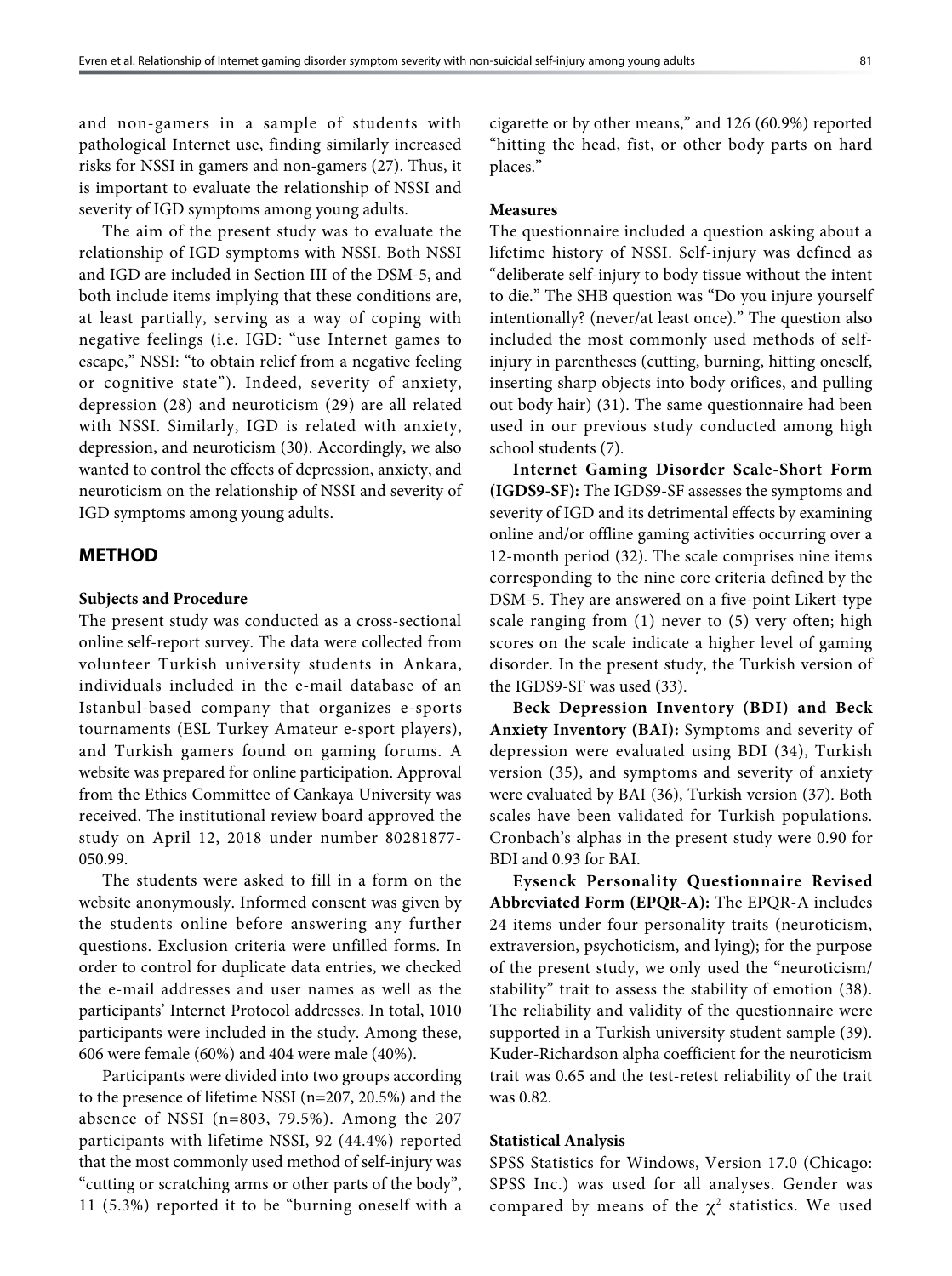and non-gamers in a sample of students with pathological Internet use, finding similarly increased risks for NSSI in gamers and non-gamers (27). Thus, it is important to evaluate the relationship of NSSI and severity of IGD symptoms among young adults.

The aim of the present study was to evaluate the relationship of IGD symptoms with NSSI. Both NSSI and IGD are included in Section III of the DSM-5, and both include items implying that these conditions are, at least partially, serving as a way of coping with negative feelings (i.e. IGD: "use Internet games to escape," NSSI: "to obtain relief from a negative feeling or cognitive state"). Indeed, severity of anxiety, depression (28) and neuroticism (29) are all related with NSSI. Similarly, IGD is related with anxiety, depression, and neuroticism (30). Accordingly, we also wanted to control the effects of depression, anxiety, and neuroticism on the relationship of NSSI and severity of IGD symptoms among young adults.

#### **METHOD**

#### **Subjects and Procedure**

The present study was conducted as a cross-sectional online self-report survey. The data were collected from volunteer Turkish university students in Ankara, individuals included in the e-mail database of an Istanbul-based company that organizes e-sports tournaments (ESL Turkey Amateur e-sport players), and Turkish gamers found on gaming forums. A website was prepared for online participation. Approval from the Ethics Committee of Cankaya University was received. The institutional review board approved the study on April 12, 2018 under number 80281877- 050.99.

The students were asked to fill in a form on the website anonymously. Informed consent was given by the students online before answering any further questions. Exclusion criteria were unfilled forms. In order to control for duplicate data entries, we checked the e-mail addresses and user names as well as the participants' Internet Protocol addresses. In total, 1010 participants were included in the study. Among these, 606 were female (60%) and 404 were male (40%).

Participants were divided into two groups according to the presence of lifetime NSSI (n=207, 20.5%) and the absence of NSSI (n=803, 79.5%). Among the 207 participants with lifetime NSSI, 92 (44.4%) reported that the most commonly used method of self-injury was "cutting or scratching arms or other parts of the body", 11 (5.3%) reported it to be "burning oneself with a cigarette or by other means," and 126 (60.9%) reported "hitting the head, fist, or other body parts on hard places."

#### **Measures**

The questionnaire included a question asking about a lifetime history of NSSI. Self-injury was defined as "deliberate self-injury to body tissue without the intent to die." The SHB question was "Do you injure yourself intentionally? (never/at least once)." The question also included the most commonly used methods of selfinjury in parentheses (cutting, burning, hitting oneself, inserting sharp objects into body orifices, and pulling out body hair) (31). The same questionnaire had been used in our previous study conducted among high school students (7).

**Internet Gaming Disorder Scale-Short Form (IGDS9-SF):** The IGDS9-SF assesses the symptoms and severity of IGD and its detrimental effects by examining online and/or offline gaming activities occurring over a 12-month period (32). The scale comprises nine items corresponding to the nine core criteria defined by the DSM-5. They are answered on a five-point Likert-type scale ranging from (1) never to (5) very often; high scores on the scale indicate a higher level of gaming disorder. In the present study, the Turkish version of the IGDS9-SF was used (33).

**Beck Depression Inventory (BDI) and Beck Anxiety Inventory (BAI):** Symptoms and severity of depression were evaluated using BDI (34), Turkish version (35), and symptoms and severity of anxiety were evaluated by BAI (36), Turkish version (37). Both scales have been validated for Turkish populations. Cronbach's alphas in the present study were 0.90 for BDI and 0.93 for BAI.

**Eysenck Personality Questionnaire Revised Abbreviated Form (EPQR-A):** The EPQR-A includes 24 items under four personality traits (neuroticism, extraversion, psychoticism, and lying); for the purpose of the present study, we only used the "neuroticism/ stability" trait to assess the stability of emotion (38). The reliability and validity of the questionnaire were supported in a Turkish university student sample (39). Kuder-Richardson alpha coefficient for the neuroticism trait was 0.65 and the test-retest reliability of the trait was 0.82.

#### **Statistical Analysis**

SPSS Statistics for Windows, Version 17.0 (Chicago: SPSS Inc.) was used for all analyses. Gender was compared by means of the  $\chi^2$  statistics. We used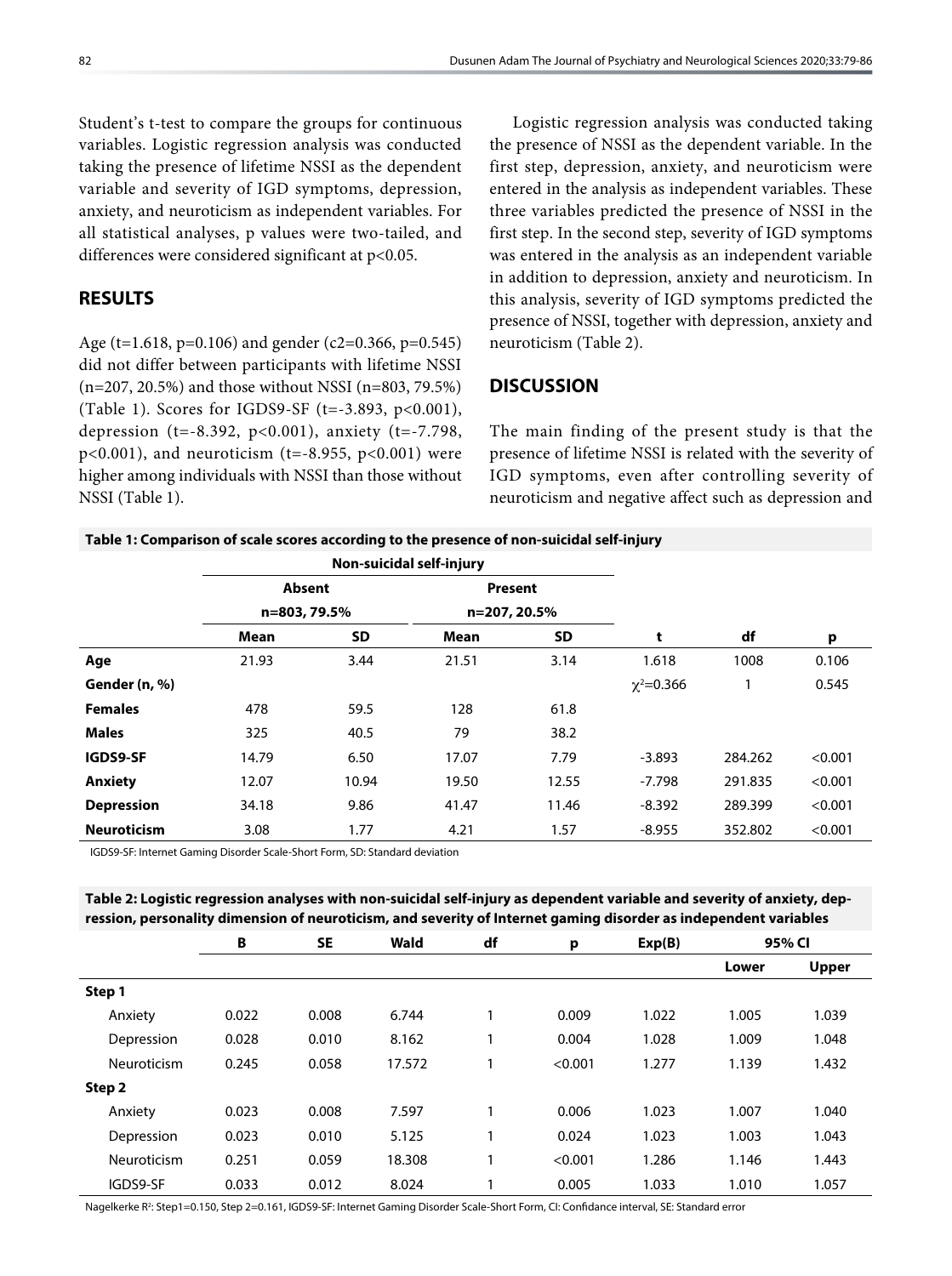Student's t-test to compare the groups for continuous variables. Logistic regression analysis was conducted taking the presence of lifetime NSSI as the dependent variable and severity of IGD symptoms, depression, anxiety, and neuroticism as independent variables. For all statistical analyses, p values were two-tailed, and differences were considered significant at p<0.05.

# **RESULTS**

Age (t=1.618, p=0.106) and gender (c2=0.366, p=0.545) did not differ between participants with lifetime NSSI (n=207, 20.5%) and those without NSSI (n=803, 79.5%) (Table 1). Scores for IGDS9-SF (t=-3.893, p<0.001), depression (t=-8.392, p<0.001), anxiety (t=-7.798,  $p<0.001$ ), and neuroticism (t=-8.955,  $p<0.001$ ) were higher among individuals with NSSI than those without NSSI (Table 1).

Logistic regression analysis was conducted taking the presence of NSSI as the dependent variable. In the first step, depression, anxiety, and neuroticism were entered in the analysis as independent variables. These three variables predicted the presence of NSSI in the first step. In the second step, severity of IGD symptoms was entered in the analysis as an independent variable in addition to depression, anxiety and neuroticism. In this analysis, severity of IGD symptoms predicted the presence of NSSI, together with depression, anxiety and neuroticism (Table 2).

## **DISCUSSION**

The main finding of the present study is that the presence of lifetime NSSI is related with the severity of IGD symptoms, even after controlling severity of neuroticism and negative affect such as depression and

#### **Table 1: Comparison of scale scores according to the presence of non-suicidal self-injury**

|                    | Non-suicidal self-injury |       |                         |       |                  |         |         |
|--------------------|--------------------------|-------|-------------------------|-------|------------------|---------|---------|
|                    | <b>Absent</b>            |       | Present<br>n=207, 20.5% |       |                  |         |         |
|                    | n=803, 79.5%             |       |                         |       |                  |         |         |
|                    | Mean                     | SD    | Mean                    | SD    | t                | df      | p       |
| Age                | 21.93                    | 3.44  | 21.51                   | 3.14  | 1.618            | 1008    | 0.106   |
| Gender (n, %)      |                          |       |                         |       | $\chi^2 = 0.366$ | 1       | 0.545   |
| <b>Females</b>     | 478                      | 59.5  | 128                     | 61.8  |                  |         |         |
| <b>Males</b>       | 325                      | 40.5  | 79                      | 38.2  |                  |         |         |
| IGDS9-SF           | 14.79                    | 6.50  | 17.07                   | 7.79  | $-3.893$         | 284.262 | < 0.001 |
| <b>Anxiety</b>     | 12.07                    | 10.94 | 19.50                   | 12.55 | $-7.798$         | 291.835 | < 0.001 |
| <b>Depression</b>  | 34.18                    | 9.86  | 41.47                   | 11.46 | $-8.392$         | 289.399 | < 0.001 |
| <b>Neuroticism</b> | 3.08                     | 1.77  | 4.21                    | 1.57  | $-8.955$         | 352.802 | < 0.001 |

IGDS9-SF: Internet Gaming Disorder Scale-Short Form, SD: Standard deviation

#### **Table 2: Logistic regression analyses with non-suicidal self-injury as dependent variable and severity of anxiety, depression, personality dimension of neuroticism, and severity of Internet gaming disorder as independent variables**

|             | B     | <b>SE</b> | Wald   | df | p       | Exp(B) | 95% CI |              |
|-------------|-------|-----------|--------|----|---------|--------|--------|--------------|
|             |       |           |        |    |         |        | Lower  | <b>Upper</b> |
| Step 1      |       |           |        |    |         |        |        |              |
| Anxiety     | 0.022 | 0.008     | 6.744  |    | 0.009   | 1.022  | 1.005  | 1.039        |
| Depression  | 0.028 | 0.010     | 8.162  | 1  | 0.004   | 1.028  | 1.009  | 1.048        |
| Neuroticism | 0.245 | 0.058     | 17.572 |    | < 0.001 | 1.277  | 1.139  | 1.432        |
| Step 2      |       |           |        |    |         |        |        |              |
| Anxiety     | 0.023 | 0.008     | 7.597  |    | 0.006   | 1.023  | 1.007  | 1.040        |
| Depression  | 0.023 | 0.010     | 5.125  | 1  | 0.024   | 1.023  | 1.003  | 1.043        |
| Neuroticism | 0.251 | 0.059     | 18.308 | 1  | < 0.001 | 1.286  | 1.146  | 1.443        |
| IGDS9-SF    | 0.033 | 0.012     | 8.024  |    | 0.005   | 1.033  | 1.010  | 1.057        |

Nagelkerke R<sup>2</sup>: Step1=0.150, Step 2=0.161, IGDS9-SF: Internet Gaming Disorder Scale-Short Form, CI: Confidance interval, SE: Standard error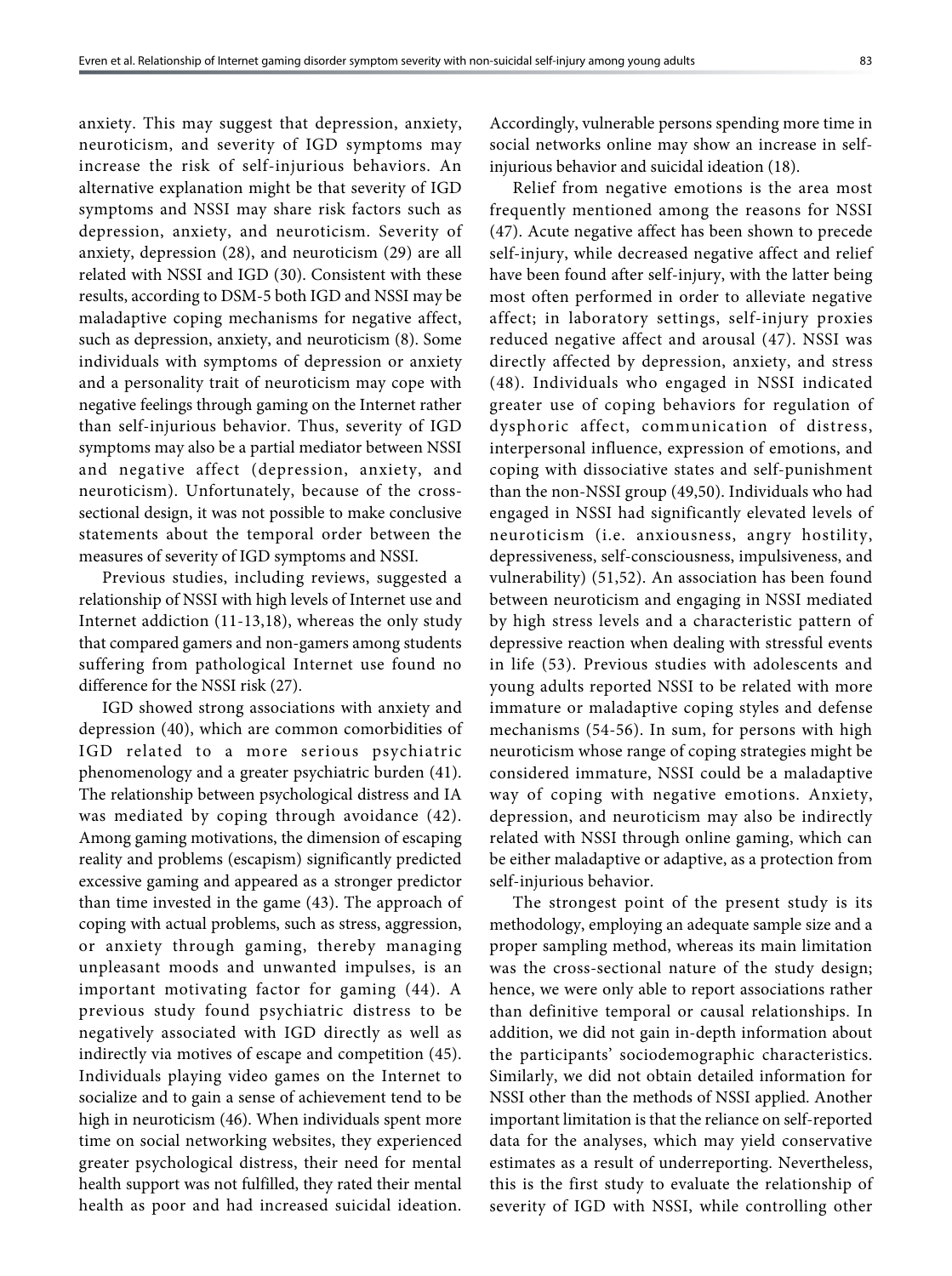anxiety. This may suggest that depression, anxiety, neuroticism, and severity of IGD symptoms may increase the risk of self-injurious behaviors. An alternative explanation might be that severity of IGD symptoms and NSSI may share risk factors such as depression, anxiety, and neuroticism. Severity of anxiety, depression (28), and neuroticism (29) are all related with NSSI and IGD (30). Consistent with these results, according to DSM-5 both IGD and NSSI may be maladaptive coping mechanisms for negative affect, such as depression, anxiety, and neuroticism (8). Some individuals with symptoms of depression or anxiety and a personality trait of neuroticism may cope with negative feelings through gaming on the Internet rather than self-injurious behavior. Thus, severity of IGD symptoms may also be a partial mediator between NSSI and negative affect (depression, anxiety, and neuroticism). Unfortunately, because of the crosssectional design, it was not possible to make conclusive statements about the temporal order between the measures of severity of IGD symptoms and NSSI.

Previous studies, including reviews, suggested a relationship of NSSI with high levels of Internet use and Internet addiction (11-13,18), whereas the only study that compared gamers and non-gamers among students suffering from pathological Internet use found no difference for the NSSI risk (27).

IGD showed strong associations with anxiety and depression (40), which are common comorbidities of IGD related to a more serious psychiatric phenomenology and a greater psychiatric burden (41). The relationship between psychological distress and IA was mediated by coping through avoidance (42). Among gaming motivations, the dimension of escaping reality and problems (escapism) significantly predicted excessive gaming and appeared as a stronger predictor than time invested in the game (43). The approach of coping with actual problems, such as stress, aggression, or anxiety through gaming, thereby managing unpleasant moods and unwanted impulses, is an important motivating factor for gaming (44). A previous study found psychiatric distress to be negatively associated with IGD directly as well as indirectly via motives of escape and competition (45). Individuals playing video games on the Internet to socialize and to gain a sense of achievement tend to be high in neuroticism (46). When individuals spent more time on social networking websites, they experienced greater psychological distress, their need for mental health support was not fulfilled, they rated their mental health as poor and had increased suicidal ideation.

Accordingly, vulnerable persons spending more time in social networks online may show an increase in selfinjurious behavior and suicidal ideation (18).

Relief from negative emotions is the area most frequently mentioned among the reasons for NSSI (47). Acute negative affect has been shown to precede self-injury, while decreased negative affect and relief have been found after self-injury, with the latter being most often performed in order to alleviate negative affect; in laboratory settings, self-injury proxies reduced negative affect and arousal (47). NSSI was directly affected by depression, anxiety, and stress (48). Individuals who engaged in NSSI indicated greater use of coping behaviors for regulation of dysphoric affect, communication of distress, interpersonal influence, expression of emotions, and coping with dissociative states and self-punishment than the non-NSSI group (49,50). Individuals who had engaged in NSSI had significantly elevated levels of neuroticism (i.e. anxiousness, angry hostility, depressiveness, self-consciousness, impulsiveness, and vulnerability) (51,52). An association has been found between neuroticism and engaging in NSSI mediated by high stress levels and a characteristic pattern of depressive reaction when dealing with stressful events in life (53). Previous studies with adolescents and young adults reported NSSI to be related with more immature or maladaptive coping styles and defense mechanisms (54-56). In sum, for persons with high neuroticism whose range of coping strategies might be considered immature, NSSI could be a maladaptive way of coping with negative emotions. Anxiety, depression, and neuroticism may also be indirectly related with NSSI through online gaming, which can be either maladaptive or adaptive, as a protection from self-injurious behavior.

The strongest point of the present study is its methodology, employing an adequate sample size and a proper sampling method, whereas its main limitation was the cross-sectional nature of the study design; hence, we were only able to report associations rather than definitive temporal or causal relationships. In addition, we did not gain in-depth information about the participants' sociodemographic characteristics. Similarly, we did not obtain detailed information for NSSI other than the methods of NSSI applied. Another important limitation is that the reliance on self-reported data for the analyses, which may yield conservative estimates as a result of underreporting. Nevertheless, this is the first study to evaluate the relationship of severity of IGD with NSSI, while controlling other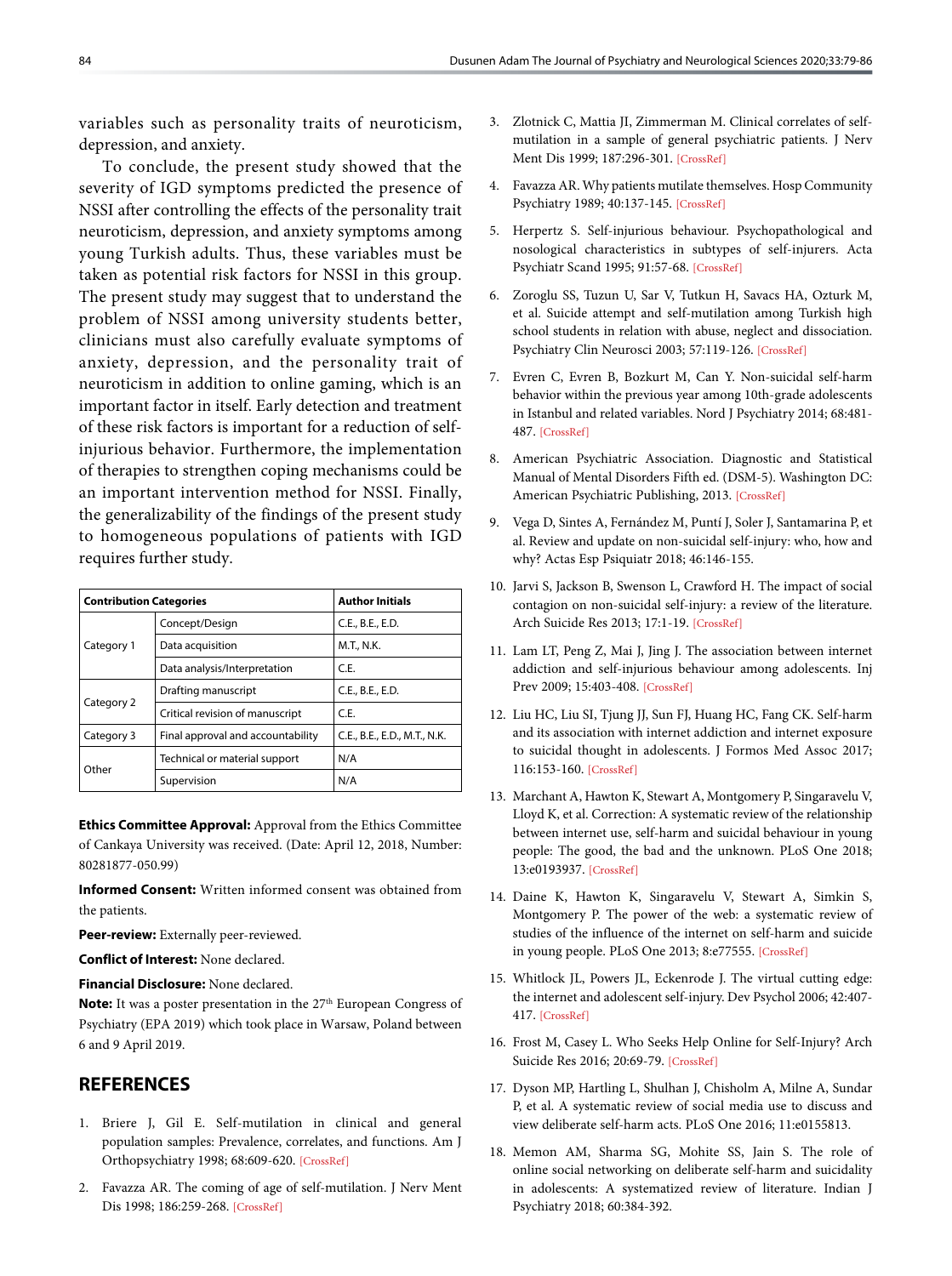variables such as personality traits of neuroticism, depression, and anxiety.

To conclude, the present study showed that the severity of IGD symptoms predicted the presence of NSSI after controlling the effects of the personality trait neuroticism, depression, and anxiety symptoms among young Turkish adults. Thus, these variables must be taken as potential risk factors for NSSI in this group. The present study may suggest that to understand the problem of NSSI among university students better, clinicians must also carefully evaluate symptoms of anxiety, depression, and the personality trait of neuroticism in addition to online gaming, which is an important factor in itself. Early detection and treatment of these risk factors is important for a reduction of selfinjurious behavior. Furthermore, the implementation of therapies to strengthen coping mechanisms could be an important intervention method for NSSI. Finally, the generalizability of the findings of the present study to homogeneous populations of patients with IGD requires further study.

| <b>Contribution Categories</b> |                                   | <b>Author Initials</b>       |  |  |
|--------------------------------|-----------------------------------|------------------------------|--|--|
| Category 1                     | Concept/Design                    | C.E., B.E., E.D.             |  |  |
|                                | Data acquisition                  | M.T., N.K.                   |  |  |
|                                | Data analysis/Interpretation      | C.E.                         |  |  |
| Category 2                     | Drafting manuscript               | C.E., B.E., E.D.             |  |  |
|                                | Critical revision of manuscript   | C.E.                         |  |  |
| Category 3                     | Final approval and accountability | C.E., B.E., E.D., M.T., N.K. |  |  |
| Other                          | Technical or material support     | N/A                          |  |  |
|                                | Supervision                       | N/A                          |  |  |

**Ethics Committee Approval:** Approval from the Ethics Committee of Cankaya University was received. (Date: April 12, 2018, Number: 80281877-050.99)

**Informed Consent:** Written informed consent was obtained from the patients.

**Peer-review:** Externally peer-reviewed.

**Conflict of Interest:** None declared.

**Financial Disclosure:** None declared.

**Note:** It was a poster presentation in the 27<sup>th</sup> European Congress of Psychiatry (EPA 2019) which took place in Warsaw, Poland between 6 and 9 April 2019.

## **REFERENCES**

- 1. Briere J, Gil E. Self-mutilation in clinical and general population samples: Prevalence, correlates, and functions. Am J Orthopsychiatry 1998; 68:609-620[. \[CrossRef\]](https://doi.org/10.1037/h0080369)
- 2. Favazza AR. The coming of age of self-mutilation. J Nerv Ment Dis 1998; 186:259-268[. \[CrossRef\]](https://doi.org/10.1097/00005053-199805000-00001)
- 3. Zlotnick C, Mattia JI, Zimmerman M. Clinical correlates of selfmutilation in a sample of general psychiatric patients. J Nerv Ment Dis 1999; 187:296-301[. \[CrossRef\]](https://doi.org/10.1097/00005053-199905000-00005)
- 4. Favazza AR. Why patients mutilate themselves. Hosp Community Psychiatry 1989; 40:137-14[5. \[CrossRef\]](https://doi.org/10.1176/ps.40.2.137)
- 5. Herpertz S. Self-injurious behaviour. Psychopathological and nosological characteristics in subtypes of self-injurers. Acta Psychiatr Scand 1995; 91:57-68. [\[CrossRef\]](https://doi.org/10.1111/j.1600-0447.1995.tb09743.x)
- 6. Zoroglu SS, Tuzun U, Sar V, Tutkun H, Savacs HA, Ozturk M, et al. Suicide attempt and self-mutilation among Turkish high school students in relation with abuse, neglect and dissociation. Psychiatry Clin Neurosci 2003; 57:119-1[26. \[CrossRef\]](https://doi.org/10.1046/j.1440-1819.2003.01088.x)
- 7. Evren C, Evren B, Bozkurt M, Can Y. Non-suicidal self-harm behavior within the previous year among 10th-grade adolescents in Istanbul and related variables. Nord J Psychiatry 2014; 68:481- 487[. \[CrossRef\]](https://doi.org/10.3109/08039488.2013.872699)
- 8. American Psychiatric Association. Diagnostic and Statistical Manual of Mental Disorders Fifth ed. (DSM-5). Washington DC: American Psychiatric Publishing, 2013[. \[CrossRef\]](https://doi.org/10.1176/appi.books.9780890425596)
- 9. Vega D, Sintes A, Fernández M, Puntí J, Soler J, Santamarina P, et al. Review and update on non-suicidal self-injury: who, how and why? Actas Esp Psiquiatr 2018; 46:146-155.
- 10. Jarvi S, Jackson B, Swenson L, Crawford H. The impact of social contagion on non-suicidal self-injury: a review of the literature. Arch Suicide Res 2013; 17:1-19[. \[CrossRef\]](https://doi.org/10.1080/13811118.2013.748404)
- 11. Lam LT, Peng Z, Mai J, Jing J. The association between internet addiction and self-injurious behaviour among adolescents. Inj Prev 2009; 15:403-408[. \[CrossRef\]](https://doi.org/10.1136/ip.2009.021949)
- 12. Liu HC, Liu SI, Tjung JJ, Sun FJ, Huang HC, Fang CK. Self-harm and its association with internet addiction and internet exposure to suicidal thought in adolescents. J Formos Med Assoc 2017; 116:153-160[. \[CrossRef\]](https://doi.org/10.1016/j.jfma.2016.03.010)
- 13. Marchant A, Hawton K, Stewart A, Montgomery P, Singaravelu V, Lloyd K, et al. Correction: A systematic review of the relationship between internet use, self-harm and suicidal behaviour in young people: The good, the bad and the unknown. PLoS One 2018; 13:e0193937. [\[CrossRef\]](https://doi.org/10.1371/journal.pone.0193937)
- 14. Daine K, Hawton K, Singaravelu V, Stewart A, Simkin S, Montgomery P. The power of the web: a systematic review of studies of the influence of the internet on self-harm and suicide in young people. PLoS One 2013; 8:e775[55. \[CrossRef\]](https://doi.org/10.1371/journal.pone.0077555)
- 15. Whitlock JL, Powers JL, Eckenrode J. The virtual cutting edge: the internet and adolescent self-injury. Dev Psychol 2006; 42:407- 417[. \[CrossRef\]](https://doi.org/10.1037/0012-1649.42.3.407)
- 16. Frost M, Casey L. Who Seeks Help Online for Self-Injury? Arch Suicide Res 2016; 20:69-7[9. \[CrossRef\]](https://doi.org/10.1080/13811118.2015.1004470)
- 17. Dyson MP, Hartling L, Shulhan J, Chisholm A, Milne A, Sundar P, et al. A systematic review of social media use to discuss and view deliberate self-harm act[s. PLoS One 2016; 11:e0155813.](https://doi.org/10.1371/journal.pone.0155813)
- 18. Memon AM, Sharma SG, Mohite SS, Jain S. The role of online social networking on deliberate self-harm and suicidality in adolescents: A systematized review of literature. Indian J Psychiatry 2018; 60:384-392.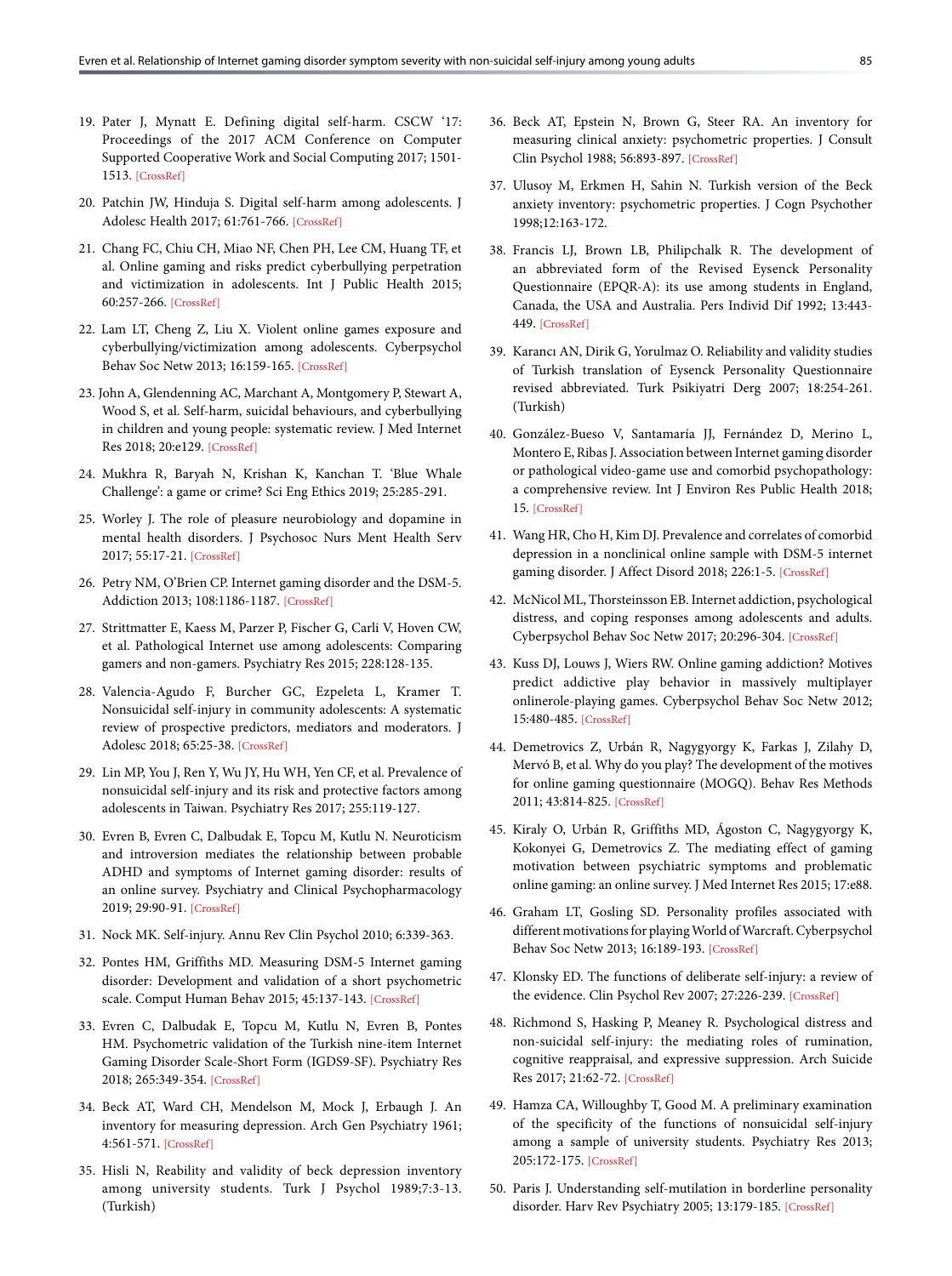- 19. Pater J, Mynatt E. Defining digital self-harm. CSCW '17: Proceedings of the 2017 ACM Conference on Computer Supported Cooperative Work and Social Computing 2017; 1501- 151[3. \[CrossRef\]](https://doi.org/10.1145/2998181.2998224)
- 20. Patchin JW, Hinduja S. Digital self-harm among adolescents. J Adolesc Health 2017; 61:761-766[. \[CrossRef\]](https://doi.org/10.1016/j.jadohealth.2017.06.012)
- 21. Chang FC, Chiu CH, Miao NF, Chen PH, Lee CM, Huang TF, et al. Online gaming and risks predict cyberbullying perpetration and victimization in adolescents. Int J Public Health 2015; 60:257-266[. \[CrossRef\]](https://doi.org/10.1007/s00038-014-0643-x)
- 22. Lam LT, Cheng Z, Liu X. Violent online games exposure and cyberbullying/victimization among adolescents. Cyberpsychol Behav Soc Netw 2013; 16:159-16[5. \[CrossRef\]](https://doi.org/10.1089/cyber.2012.0087)
- 23. John A, Glendenning AC, Marchant A, Montgomery P, Stewart A, Wood S, et al. Self-harm, suicidal behaviours, and cyberbullying in children and young people: systematic review. J Med Internet Res 2018; 20:e12[9. \[CrossRef\]](https://doi.org/10.2196/jmir.9044)
- 24. Mukhra R, Baryah N, Krishan K, Kanchan T. 'Blue Whale Challenge': a game or crime[? Sci Eng Ethics 2019; 25:285-291](https://doi.org/10.1007/s11948-017-0004-2).
- 25. Worley J. The role of pleasure neurobiology and dopamine in mental health disorders. J Psychosoc Nurs Ment Health Serv 2017; 55:17-21. [\[CrossRef\]](https://doi.org/10.3928/02793695-20170818-09)
- 26. Petry NM, O'Brien CP. Internet gaming disorder and the DSM-5. Addiction 2013; 108:1186-118[7. \[CrossRef\]](https://doi.org/10.1111/add.12162)
- 27. Strittmatter E, Kaess M, Parzer P, Fischer G, Carli V, Hoven CW, et al. Pathological Internet use among adolescents: Comparing gamers and non-gamer[s. Psychiatry Res 2015; 228:128-135.](https://doi.org/10.1016/j.psychres.2015.04.029)
- 28. Valencia-Agudo F, Burcher GC, Ezpeleta L, Kramer T. Nonsuicidal self-injury in community adolescents: A systematic review of prospective predictors, mediators and moderators. J Adolesc 2018; 65:25-[38. \[CrossRef\]](https://doi.org/10.1016/j.adolescence.2018.02.012)
- 29. Lin MP, You J, Ren Y, Wu JY, Hu WH, Yen CF, et al. Prevalence of nonsuicidal self-injury and its risk and protective factors among adolescents in Taiwan[. Psychiatry Res 2017; 255:119-127.](https://doi.org/10.1016/j.psychres.2017.05.028)
- 30. Evren B, Evren C, Dalbudak E, Topcu M, Kutlu N. Neuroticism and introversion mediates the relationship between probable ADHD and symptoms of Internet gaming disorder: results of an online survey. Psychiatry and Clinical Psychopharmacology 2019; 29:90-91. [\[CrossRef\]](https://doi.org/10.1080/24750573.2018.1490095)
- 31. Nock MK. Self-injury. [Annu Rev Clin Psychol 2010; 6:339-363.](https://doi.org/10.1146/annurev.clinpsy.121208.131258)
- 32. Pontes HM, Griffiths MD. Measuring DSM-5 Internet gaming disorder: Development and validation of a short psychometric scale. Comput Human Behav 2015; 45:137-143. [\[CrossRef\]](https://doi.org/10.1016/j.chb.2014.12.006)
- 33. Evren C, Dalbudak E, Topcu M, Kutlu N, Evren B, Pontes HM. Psychometric validation of the Turkish nine-item Internet Gaming Disorder Scale-Short Form (IGDS9-SF). Psychiatry Res 2018; 265:349-354. [\[CrossRef\]](https://doi.org/10.1016/j.psychres.2018.05.002)
- 34. Beck AT, Ward CH, Mendelson M, Mock J, Erbaugh J. An inventory for measuring depression. Arch Gen Psychiatry 1961; 4:561-571. [\[CrossRef\]](https://doi.org/10.1001/archpsyc.1961.01710120031004)
- 35. Hisli N, Reability and validity of beck depression inventory among university students. Turk J Psychol 1989;7:3-13. (Turkish)
- 36. Beck AT, Epstein N, Brown G, Steer RA. An inventory for measuring clinical anxiety: psychometric properties. J Consult Clin Psychol 1988; 56:893-897[. \[CrossRef\]](https://doi.org/10.1037/0022-006X.56.6.893)
- 37. Ulusoy M, Erkmen H, Sahin N. Turkish version of the Beck anxiety inventory: psychometric properties. J Cogn Psychother 1998;12:163-172.
- 38. Francis LJ, Brown LB, Philipchalk R. The development of an abbreviated form of the Revised Eysenck Personality Questionnaire (EPQR-A): its use among students in England, Canada, the USA and Australia. Pers Individ Dif 1992; 13:443- 449[. \[CrossRef\]](https://doi.org/10.1016/0191-8869(92)90073-X)
- 39. Karancı AN, Dirik G, Yorulmaz O. Reliability and validity studies of Turkish translation of Eysenck Personality Questionnaire revised abbreviated. Turk Psikiyatri Derg 2007; 18:254-261. (Turkish)
- 40. González-Bueso V, Santamaría JJ, Fernández D, Merino L, Montero E, Ribas J. Association between Internet gaming disorder or pathological video-game use and comorbid psychopathology: a comprehensive review. Int J Environ Res Public Health 2018; 15[. \[CrossRef\]](https://doi.org/10.3390/ijerph15040668)
- 41. Wang HR, Cho H, Kim DJ. Prevalence and correlates of comorbid depression in a nonclinical online sample with DSM-5 internet gaming disorder. J Affect Disord 2018; 226:1-[5. \[CrossRef\]](https://doi.org/10.1016/j.jad.2017.08.005)
- 42. McNicol ML, Thorsteinsson EB. Internet addiction, psychological distress, and coping responses among adolescents and adults. Cyberpsychol Behav Soc Netw 2017; 20:296-304. [\[CrossRef\]](https://doi.org/10.1089/cyber.2016.0669)
- 43. Kuss DJ, Louws J, Wiers RW. Online gaming addiction? Motives predict addictive play behavior in massively multiplayer onlinerole-playing games. Cyberpsychol Behav Soc Netw 2012; 15:480-485[. \[CrossRef\]](https://doi.org/10.1089/cyber.2012.0034)
- 44. Demetrovics Z, Urbán R, Nagygyorgy K, Farkas J, Zilahy D, Mervó B, et al. Why do you play? The development of the motives for online gaming questionnaire (MOGQ). Behav Res Methods 2011; 43:814-8[25. \[CrossRef\]](https://doi.org/10.3758/s13428-011-0091-y)
- 45. Kiraly O, Urbán R, Griffiths MD, Ágoston C, Nagygyorgy K, Kokonyei G, Demetrovics Z. The mediating effect of gaming motivation between psychiatric symptoms and problematic online gaming: an online survey. [J Med Internet Res 2015; 17:e88.](https://doi.org/10.2196/jmir.3515)
- 46. Graham LT, Gosling SD. Personality profiles associated with different motivations for playing World of Warcraft. Cyberpsychol Behav Soc Netw 2013; 16:189-19[3. \[CrossRef\]](https://doi.org/10.1089/cyber.2012.0090)
- 47. Klonsky ED. The functions of deliberate self-injury: a review of the evidence. Clin Psychol Rev 2007; 27:226-239[. \[CrossRef\]](https://doi.org/10.1016/j.cpr.2006.08.002)
- 48. Richmond S, Hasking P, Meaney R. Psychological distress and non-suicidal self-injury: the mediating roles of rumination, cognitive reappraisal, and expressive suppression. Arch Suicide Res 2017; 21:62-72. [\[CrossRef\]](https://doi.org/10.1080/13811118.2015.1008160)
- 49. Hamza CA, Willoughby T, Good M. A preliminary examination of the specificity of the functions of nonsuicidal self-injury among a sample of university students. Psychiatry Res 2013; 205:172-175[. \[CrossRef\]](https://doi.org/10.1016/j.psychres.2012.08.036)
- 50. Paris J. Understanding self-mutilation in borderline personality disorder. Harv Rev Psychiatry 2005; 13:179-18[5. \[CrossRef\]](https://doi.org/10.1080/10673220591003614)